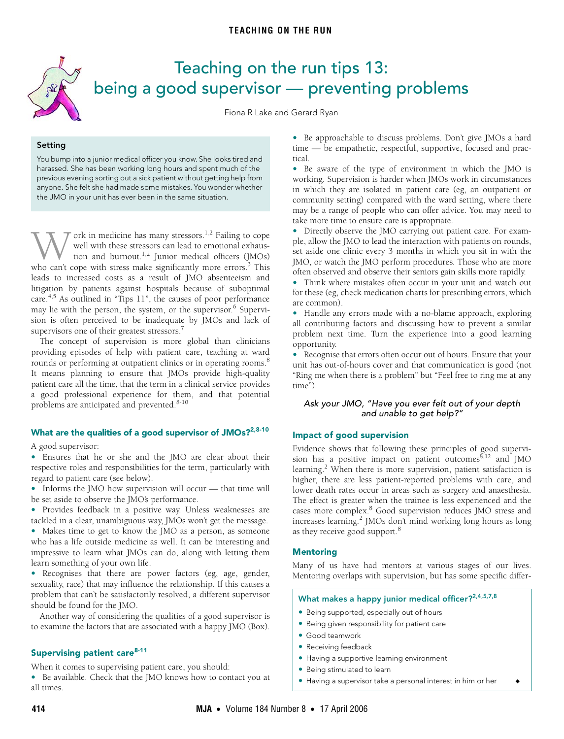<span id="page-0-0"></span>

# Teaching on the run tips 13: being a good supervisor — preventing problems

Fiona R Lake and Gerard Ryan

# **Setting**

You bump into a junior medical officer you know. She looks tired and harassed. She has been working long hours and spent much of the previous evening sorting out a sick patient without getting help from anyone. She felt she had made some mistakes. You wonder whether the JMO in your unit has ever been in the same situation.

may lie with the person, the system, or the supervisor.<sup>6</sup> Supervision is often perceived to be inadequate by JMOs and lack of  $\frac{1}{\sqrt{2}}$ supervisors one of their greatest stressors.<sup>7</sup> ork in medicine has many stressors.<sup>1,2</sup> Failing to cope well with these stressors can lead to emotional exhaustion and burnout.<sup>1,2</sup> Junior medical officers (JMOs) Well with these stressors can lead to emotional exhaustion and burnout.<sup>1,2</sup> Junior medical officers (JMOs) who can't cope with stress make significantly more errors.<sup>3</sup> This leads to increased costs as a result of JMO absenteeism and litigation by patients against hospitals because of suboptimal care.4,5 As outlined in "Tips 11", the causes of poor performance

The concept of supervision is more global than clinicians providing episodes of help with patient care, teaching at ward rounds or performing at outpatient clinics or in operating rooms.<sup>8</sup> It means planning to ensure that JMOs provide high-quality patient care all the time, that the term in a clinical service provides a good professional experience for them, and that potential problems are anticipated and prevented.<sup>8-10</sup>

## **What are the qualities of a good supervisor of JMOs?2,8-10**

A good supervisor:

**•** Ensures that he or she and the JMO are clear about their respective roles and responsibilities for the term, particularly with regard to patient care (see below).

**•** Informs the JMO how supervision will occur — that time will be set aside to observe the JMO's performance.

**•** Provides feedback in a positive way. Unless weaknesses are tackled in a clear, unambiguous way, JMOs won't get the message.

**•** Makes time to get to know the JMO as a person, as someone who has a life outside medicine as well. It can be interesting and impressive to learn what JMOs can do, along with letting them learn something of your own life.

**•** Recognises that there are power factors (eg, age, gender, sexuality, race) that may influence the relationship. If this causes a problem that can't be satisfactorily resolved, a different supervisor should be found for the JMO.

Another way of considering the qualities of a good supervisor is to examine the factors that are associated with a happy JMO (Box).

# **Supervising patient care8-11**

When it comes to supervising patient care, you should: **•** Be available. Check that the JMO knows how to contact you at all times.

**•** Be approachable to discuss problems. Don't give JMOs a hard time — be empathetic, respectful, supportive, focused and practical.

**•** Be aware of the type of environment in which the JMO is working. Supervision is harder when JMOs work in circumstances in which they are isolated in patient care (eg, an outpatient or community setting) compared with the ward setting, where there may be a range of people who can offer advice. You may need to take more time to ensure care is appropriate.

**•** Directly observe the JMO carrying out patient care. For example, allow the JMO to lead the interaction with patients on rounds, set aside one clinic every 3 months in which you sit in with the JMO, or watch the JMO perform procedures. Those who are more often observed and observe their seniors gain skills more rapidly.

**•** Think where mistakes often occur in your unit and watch out for these (eg, check medication charts for prescribing errors, which are common).

**•** Handle any errors made with a no-blame approach, exploring all contributing factors and discussing how to prevent a similar problem next time. Turn the experience into a good learning opportunity.

**•** Recognise that errors often occur out of hours. Ensure that your unit has out-of-hours cover and that communication is good (not "Ring me when there is a problem" but "Feel free to ring me at any time").

## Ask your JMO, "Have you ever felt out of your depth and unable to get help?"

### **Impact of good supervision**

Evidence shows that following these principles of good supervision has a positive impact on patient outcomes ${}^{8,12}$  and JMO learning.<sup>2</sup> When there is more supervision, patient satisfaction is higher, there are less patient-reported problems with care, and lower death rates occur in areas such as surgery and anaesthesia. The effect is greater when the trainee is less experienced and the cases more complex.<sup>8</sup> Good supervision reduces JMO stress and increases learning.<sup>2</sup> JMOs don't mind working long hours as long as they receive good support.<sup>8</sup>

# **Mentoring**

Many of us have had mentors at various stages of our lives. Mentoring overlaps with supervision, but has some specific differ-

# **What makes a happy junior medical officer?2,4,5,7,8**

- **•** Being supported, especially out of hours
- **•** Being given responsibility for patient care
- **•** Good teamwork
- **•** Receiving feedback
- **•** Having a supportive learning environment
- **•** Being stimulated to learn
- Having a supervisor take a personal interest in him or her